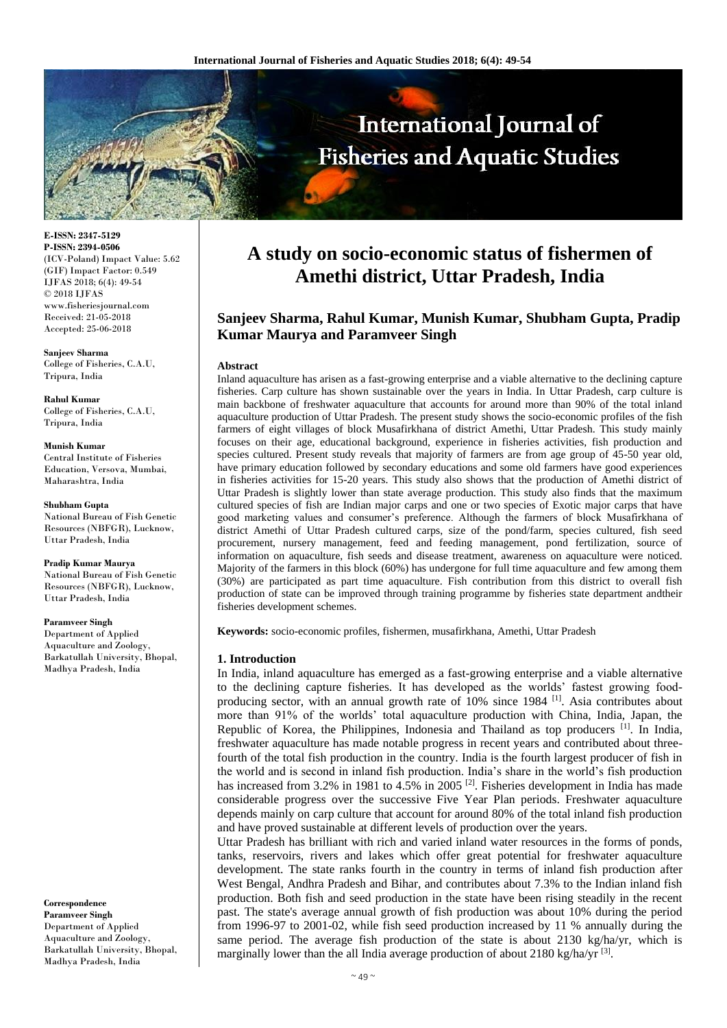

**E-ISSN: 2347-5129 P-ISSN: 2394-0506** (ICV-Poland) Impact Value: 5.62 (GIF) Impact Factor: 0.549 IJFAS 2018; 6(4): 49-54 © 2018 IJFAS www.fisheriesjournal.com Received: 21-05-2018 Accepted: 25-06-2018

**Sanjeev Sharma** College of Fisheries, C.A.U, Tripura, India

**Rahul Kumar** College of Fisheries, C.A.U, Tripura, India

# **Munish Kumar**

Central Institute of Fisheries Education, Versova, Mumbai, Maharashtra, India

**Shubham Gupta**

National Bureau of Fish Genetic Resources (NBFGR), Lucknow, Uttar Pradesh, India

**Pradip Kumar Maurya** National Bureau of Fish Genetic Resources (NBFGR), Lucknow, Uttar Pradesh, India

#### **Paramveer Singh**

Department of Applied Aquaculture and Zoology, Barkatullah University, Bhopal, Madhya Pradesh, India

**Correspondence Paramveer Singh** Department of Applied Aquaculture and Zoology, Barkatullah University, Bhopal, Madhya Pradesh, India

# **A study on socio-economic status of fishermen of Amethi district, Uttar Pradesh, India**

# **Sanjeev Sharma, Rahul Kumar, Munish Kumar, Shubham Gupta, Pradip Kumar Maurya and Paramveer Singh**

#### **Abstract**

Inland aquaculture has arisen as a fast-growing enterprise and a viable alternative to the declining capture fisheries. Carp culture has shown sustainable over the years in India. In Uttar Pradesh, carp culture is main backbone of freshwater aquaculture that accounts for around more than 90% of the total inland aquaculture production of Uttar Pradesh. The present study shows the socio-economic profiles of the fish farmers of eight villages of block Musafirkhana of district Amethi, Uttar Pradesh. This study mainly focuses on their age, educational background, experience in fisheries activities, fish production and species cultured. Present study reveals that majority of farmers are from age group of 45-50 year old, have primary education followed by secondary educations and some old farmers have good experiences in fisheries activities for 15-20 years. This study also shows that the production of Amethi district of Uttar Pradesh is slightly lower than state average production. This study also finds that the maximum cultured species of fish are Indian major carps and one or two species of Exotic major carps that have good marketing values and consumer's preference. Although the farmers of block Musafirkhana of district Amethi of Uttar Pradesh cultured carps, size of the pond/farm, species cultured, fish seed procurement, nursery management, feed and feeding management, pond fertilization, source of information on aquaculture, fish seeds and disease treatment, awareness on aquaculture were noticed. Majority of the farmers in this block (60%) has undergone for full time aquaculture and few among them (30%) are participated as part time aquaculture. Fish contribution from this district to overall fish production of state can be improved through training programme by fisheries state department andtheir fisheries development schemes.

**Keywords:** socio-economic profiles, fishermen, musafirkhana, Amethi, Uttar Pradesh

#### **1. Introduction**

In India, inland aquaculture has emerged as a fast-growing enterprise and a viable alternative to the declining capture fisheries. It has developed as the worlds' fastest growing foodproducing sector, with an annual growth rate of 10% since 1984 [1]. Asia contributes about more than 91% of the worlds' total aquaculture production with China, India, Japan, the Republic of Korea, the Philippines, Indonesia and Thailand as top producers  $[1]$ . In India, freshwater aquaculture has made notable progress in recent years and contributed about threefourth of the total fish production in the country. India is the fourth largest producer of fish in the world and is second in inland fish production. India's share in the world's fish production has increased from 3.2% in 1981 to 4.5% in 2005 <sup>[2]</sup>. Fisheries development in India has made considerable progress over the successive Five Year Plan periods. Freshwater aquaculture depends mainly on carp culture that account for around 80% of the total inland fish production and have proved sustainable at different levels of production over the years.

Uttar Pradesh has brilliant with rich and varied inland water resources in the forms of ponds, tanks, reservoirs, rivers and lakes which offer great potential for freshwater aquaculture development. The state ranks fourth in the country in terms of inland fish production after West Bengal, Andhra Pradesh and Bihar, and contributes about 7.3% to the Indian inland fish production. Both fish and seed production in the state have been rising steadily in the recent past. The state's average annual growth of fish production was about 10% during the period from 1996-97 to 2001-02, while fish seed production increased by 11 % annually during the same period. The average fish production of the state is about 2130 kg/ha/yr, which is marginally lower than the all India average production of about 2180 kg/ha/yr <sup>[3]</sup>.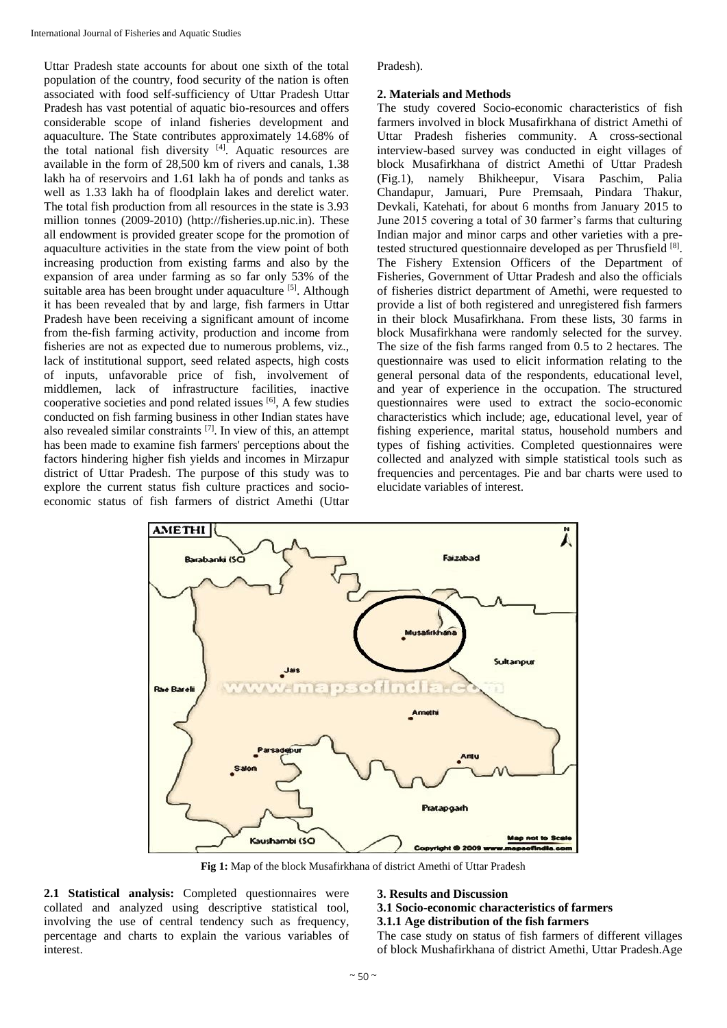Uttar Pradesh state accounts for about one sixth of the total population of the country, food security of the nation is often associated with food self-sufficiency of Uttar Pradesh Uttar Pradesh has vast potential of aquatic bio-resources and offers considerable scope of inland fisheries development and aquaculture. The State contributes approximately 14.68% of the total national fish diversity <sup>[4]</sup>. Aquatic resources are available in the form of 28,500 km of rivers and canals, 1.38 lakh ha of reservoirs and 1.61 lakh ha of ponds and tanks as well as 1.33 lakh ha of floodplain lakes and derelict water. The total fish production from all resources in the state is 3.93 million tonnes (2009-2010) (http://fisheries.up.nic.in). These all endowment is provided greater scope for the promotion of aquaculture activities in the state from the view point of both increasing production from existing farms and also by the expansion of area under farming as so far only 53% of the suitable area has been brought under aquaculture [5]. Although it has been revealed that by and large, fish farmers in Uttar Pradesh have been receiving a significant amount of income from the-fish farming activity, production and income from fisheries are not as expected due to numerous problems, viz., lack of institutional support, seed related aspects, high costs of inputs, unfavorable price of fish, involvement of middlemen, lack of infrastructure facilities, inactive cooperative societies and pond related issues [6] , A few studies conducted on fish farming business in other Indian states have also revealed similar constraints [7] . In view of this, an attempt has been made to examine fish farmers' perceptions about the factors hindering higher fish yields and incomes in Mirzapur district of Uttar Pradesh. The purpose of this study was to explore the current status fish culture practices and socioeconomic status of fish farmers of district Amethi (Uttar

Pradesh).

#### **2. Materials and Methods**

The study covered Socio-economic characteristics of fish farmers involved in block Musafirkhana of district Amethi of Uttar Pradesh fisheries community. A cross-sectional interview-based survey was conducted in eight villages of block Musafirkhana of district Amethi of Uttar Pradesh (Fig.1), namely Bhikheepur, Visara Paschim, Palia Chandapur, Jamuari, Pure Premsaah, Pindara Thakur, Devkali, Katehati, for about 6 months from January 2015 to June 2015 covering a total of 30 farmer's farms that culturing Indian major and minor carps and other varieties with a pretested structured questionnaire developed as per Thrusfield [8]. The Fishery Extension Officers of the Department of Fisheries, Government of Uttar Pradesh and also the officials of fisheries district department of Amethi, were requested to provide a list of both registered and unregistered fish farmers in their block Musafirkhana. From these lists, 30 farms in block Musafirkhana were randomly selected for the survey. The size of the fish farms ranged from 0.5 to 2 hectares. The questionnaire was used to elicit information relating to the general personal data of the respondents, educational level, and year of experience in the occupation. The structured questionnaires were used to extract the socio-economic characteristics which include; age, educational level, year of fishing experience, marital status, household numbers and types of fishing activities. Completed questionnaires were collected and analyzed with simple statistical tools such as frequencies and percentages. Pie and bar charts were used to elucidate variables of interest.



**Fig 1:** Map of the block Musafirkhana of district Amethi of Uttar Pradesh

**2.1 Statistical analysis:** Completed questionnaires were collated and analyzed using descriptive statistical tool, involving the use of central tendency such as frequency, percentage and charts to explain the various variables of interest.

#### **3. Results and Discussion**

# **3.1 Socio-economic characteristics of farmers**

**3.1.1 Age distribution of the fish farmers**

The case study on status of fish farmers of different villages of block Mushafirkhana of district Amethi, Uttar Pradesh.Age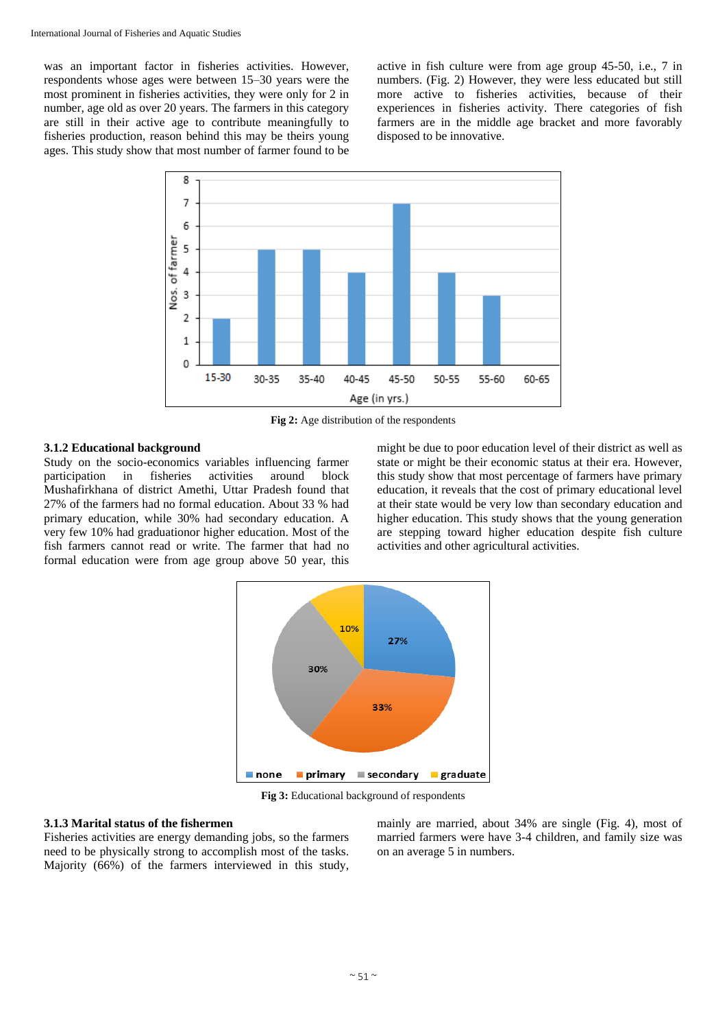was an important factor in fisheries activities. However, respondents whose ages were between 15–30 years were the most prominent in fisheries activities, they were only for 2 in number, age old as over 20 years. The farmers in this category are still in their active age to contribute meaningfully to fisheries production, reason behind this may be theirs young ages. This study show that most number of farmer found to be

active in fish culture were from age group 45-50, i.e., 7 in numbers. (Fig. 2) However, they were less educated but still more active to fisheries activities, because of their experiences in fisheries activity. There categories of fish farmers are in the middle age bracket and more favorably disposed to be innovative.



**Fig 2:** Age distribution of the respondents

#### **3.1.2 Educational background**

Study on the socio-economics variables influencing farmer participation in fisheries activities around block Mushafirkhana of district Amethi, Uttar Pradesh found that 27% of the farmers had no formal education. About 33 % had primary education, while 30% had secondary education. A very few 10% had graduationor higher education. Most of the fish farmers cannot read or write. The farmer that had no formal education were from age group above 50 year, this might be due to poor education level of their district as well as state or might be their economic status at their era. However, this study show that most percentage of farmers have primary education, it reveals that the cost of primary educational level at their state would be very low than secondary education and higher education. This study shows that the young generation are stepping toward higher education despite fish culture activities and other agricultural activities.



**Fig 3:** Educational background of respondents

#### **3.1.3 Marital status of the fishermen**

Fisheries activities are energy demanding jobs, so the farmers need to be physically strong to accomplish most of the tasks. Majority (66%) of the farmers interviewed in this study,

mainly are married, about 34% are single (Fig. 4), most of married farmers were have 3-4 children, and family size was on an average 5 in numbers.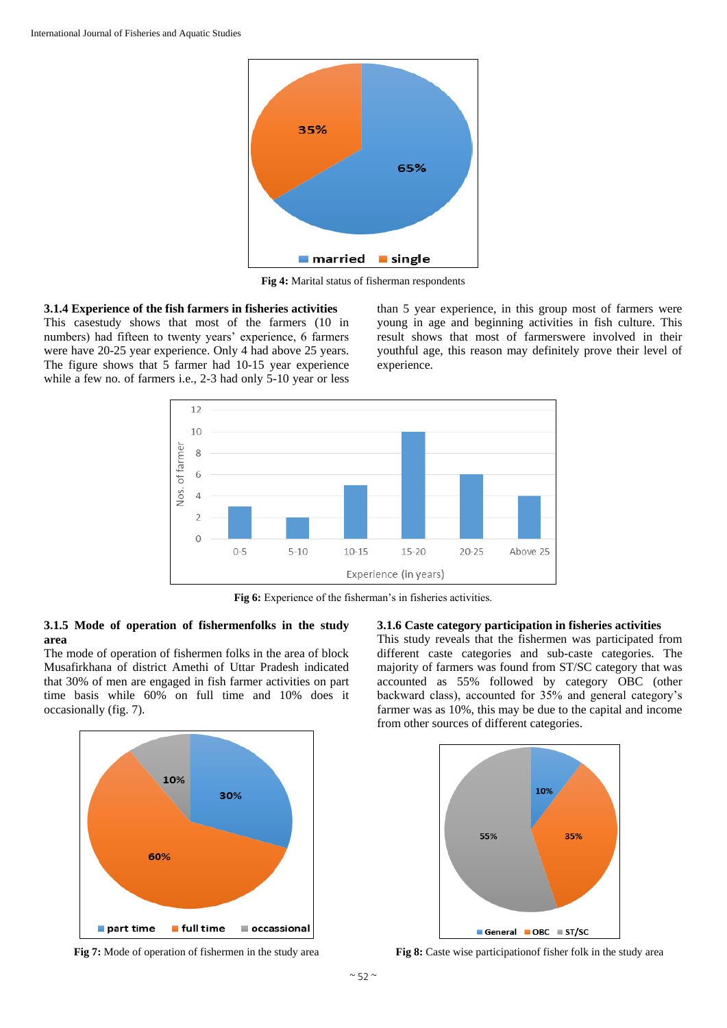

**Fig 4:** Marital status of fisherman respondents

#### **3.1.4 Experience of the fish farmers in fisheries activities**

This casestudy shows that most of the farmers (10 in numbers) had fifteen to twenty years' experience, 6 farmers were have 20-25 year experience. Only 4 had above 25 years. The figure shows that 5 farmer had 10-15 year experience while a few no. of farmers i.e., 2-3 had only 5-10 year or less than 5 year experience, in this group most of farmers were young in age and beginning activities in fish culture. This result shows that most of farmerswere involved in their youthful age, this reason may definitely prove their level of experience.



**Fig 6:** Experience of the fisherman's in fisheries activities.

### **3.1.5 Mode of operation of fishermenfolks in the study area**

The mode of operation of fishermen folks in the area of block Musafirkhana of district Amethi of Uttar Pradesh indicated that 30% of men are engaged in fish farmer activities on part time basis while 60% on full time and 10% does it occasionally (fig. 7).



**Fig 7:** Mode of operation of fishermen in the study area

**3.1.6 Caste category participation in fisheries activities**

This study reveals that the fishermen was participated from different caste categories and sub-caste categories. The majority of farmers was found from ST/SC category that was accounted as 55% followed by category OBC (other backward class), accounted for 35% and general category's farmer was as 10%, this may be due to the capital and income from other sources of different categories.



**Fig 8:** Caste wise participationof fisher folk in the study area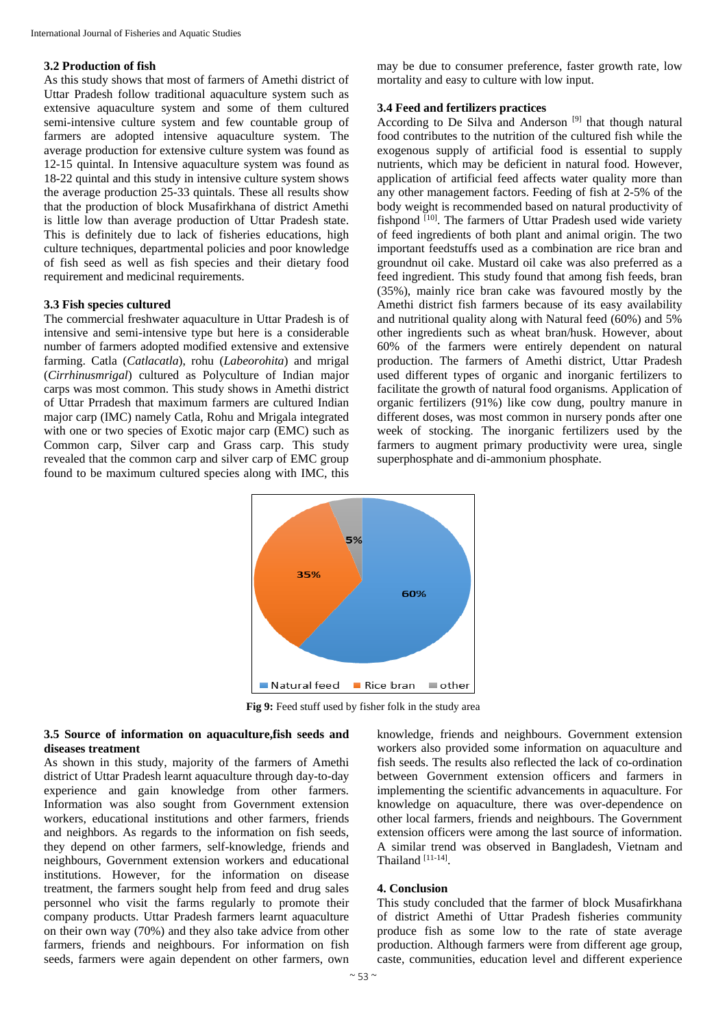### **3.2 Production of fish**

As this study shows that most of farmers of Amethi district of Uttar Pradesh follow traditional aquaculture system such as extensive aquaculture system and some of them cultured semi-intensive culture system and few countable group of farmers are adopted intensive aquaculture system. The average production for extensive culture system was found as 12-15 quintal. In Intensive aquaculture system was found as 18-22 quintal and this study in intensive culture system shows the average production 25-33 quintals. These all results show that the production of block Musafirkhana of district Amethi is little low than average production of Uttar Pradesh state. This is definitely due to lack of fisheries educations, high culture techniques, departmental policies and poor knowledge of fish seed as well as fish species and their dietary food requirement and medicinal requirements.

#### **3.3 Fish species cultured**

The commercial freshwater aquaculture in Uttar Pradesh is of intensive and semi-intensive type but here is a considerable number of farmers adopted modified extensive and extensive farming. Catla (*Catlacatla*), rohu (*Labeorohita*) and mrigal (*Cirrhinusmrigal*) cultured as Polyculture of Indian major carps was most common. This study shows in Amethi district of Uttar Prradesh that maximum farmers are cultured Indian major carp (IMC) namely Catla, Rohu and Mrigala integrated with one or two species of Exotic major carp (EMC) such as Common carp, Silver carp and Grass carp. This study revealed that the common carp and silver carp of EMC group found to be maximum cultured species along with IMC, this

may be due to consumer preference, faster growth rate, low mortality and easy to culture with low input.

#### **3.4 Feed and fertilizers practices**

According to De Silva and Anderson<sup>[9]</sup> that though natural food contributes to the nutrition of the cultured fish while the exogenous supply of artificial food is essential to supply nutrients, which may be deficient in natural food. However, application of artificial feed affects water quality more than any other management factors. Feeding of fish at 2-5% of the body weight is recommended based on natural productivity of fishpond <a>[10]</a>. The farmers of Uttar Pradesh used wide variety of feed ingredients of both plant and animal origin. The two important feedstuffs used as a combination are rice bran and groundnut oil cake. Mustard oil cake was also preferred as a feed ingredient. This study found that among fish feeds, bran (35%), mainly rice bran cake was favoured mostly by the Amethi district fish farmers because of its easy availability and nutritional quality along with Natural feed (60%) and 5% other ingredients such as wheat bran/husk. However, about 60% of the farmers were entirely dependent on natural production. The farmers of Amethi district, Uttar Pradesh used different types of organic and inorganic fertilizers to facilitate the growth of natural food organisms. Application of organic fertilizers (91%) like cow dung, poultry manure in different doses, was most common in nursery ponds after one week of stocking. The inorganic fertilizers used by the farmers to augment primary productivity were urea, single superphosphate and di-ammonium phosphate.



**Fig 9:** Feed stuff used by fisher folk in the study area

# **3.5 Source of information on aquaculture,fish seeds and diseases treatment**

As shown in this study, majority of the farmers of Amethi district of Uttar Pradesh learnt aquaculture through day-to-day experience and gain knowledge from other farmers. Information was also sought from Government extension workers, educational institutions and other farmers, friends and neighbors. As regards to the information on fish seeds, they depend on other farmers, self-knowledge, friends and neighbours, Government extension workers and educational institutions. However, for the information on disease treatment, the farmers sought help from feed and drug sales personnel who visit the farms regularly to promote their company products. Uttar Pradesh farmers learnt aquaculture on their own way (70%) and they also take advice from other farmers, friends and neighbours. For information on fish seeds, farmers were again dependent on other farmers, own knowledge, friends and neighbours. Government extension workers also provided some information on aquaculture and fish seeds. The results also reflected the lack of co-ordination between Government extension officers and farmers in implementing the scientific advancements in aquaculture. For knowledge on aquaculture, there was over-dependence on other local farmers, friends and neighbours. The Government extension officers were among the last source of information. A similar trend was observed in Bangladesh, Vietnam and Thailand [11-14].

## **4. Conclusion**

This study concluded that the farmer of block Musafirkhana of district Amethi of Uttar Pradesh fisheries community produce fish as some low to the rate of state average production. Although farmers were from different age group, caste, communities, education level and different experience